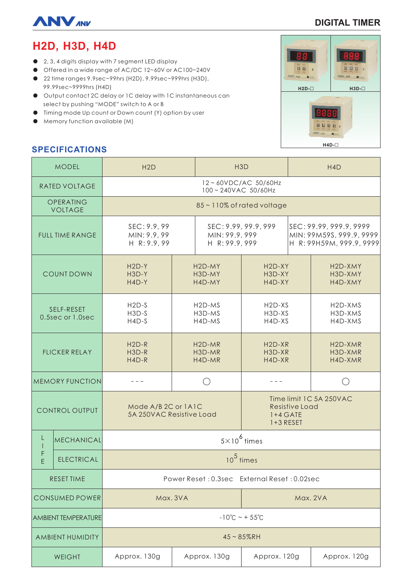

# **DIGITAL TIMER**

# **H2D, H3D, H4D**

- 2, 3, 4 digits display with 7 segment LED display
- Offered in a wide range of AC/DC 12~60V or AC100~240V
- 22 time ranges 9.9sec~99hrs (H2D), 9.99sec~999hrs (H3D), 99.99sec~9999hrs (H4D)
- Output contact 2C delay or 1C delay with 1C instantaneous can select by pushing "MODE" switch to A or B
- Timing mode Up count or Down count (Y) option by user
- Memory function available (M)

# **SPECIFICATIONS**

| <b>MODEL</b>                   |                   | H2D                                             |                                         | H <sub>3</sub> D                                         |                                                                               | H <sub>4</sub> D                                                                |                                            |
|--------------------------------|-------------------|-------------------------------------------------|-----------------------------------------|----------------------------------------------------------|-------------------------------------------------------------------------------|---------------------------------------------------------------------------------|--------------------------------------------|
| <b>RATED VOLTAGE</b>           |                   | 12~60VDC/AC 50/60Hz<br>100~240VAC 50/60Hz       |                                         |                                                          |                                                                               |                                                                                 |                                            |
| OPERATING<br><b>VOLTAGE</b>    |                   | 85~110% of rated voltage                        |                                         |                                                          |                                                                               |                                                                                 |                                            |
| <b>FULL TIME RANGE</b>         |                   | SEC: 9.9, 99<br>MIN: 9.9, 99<br>H R: 9.9, 99    |                                         | SEC: 9.99, 99.9, 999<br>MIN: 99.9, 999<br>H R: 99.9, 999 |                                                                               | SEC: 99.99, 999.9, 9999<br>MIN: 99M59S, 999.9, 9999<br>H R: 99H59M, 999.9, 9999 |                                            |
| <b>COUNT DOWN</b>              |                   | $H2D-Y$<br>H3D-Y<br>H4D-Y                       | H <sub>2</sub> D-MY<br>H3D-MY<br>H4D-MY |                                                          | H <sub>2</sub> D-XY<br>H3D-XY<br>H4D-XY                                       |                                                                                 | H2D-XMY<br>H3D-XMY<br>H4D-XMY              |
| SELF-RESET<br>0.5sec or 1.0sec |                   | $H2D-S$<br>$H3D-S$<br>$H4D-S$                   | $H2D-MS$<br>H3D-MS<br>H4D-MS            |                                                          | H <sub>2</sub> D-X <sub>S</sub><br>H3D-XS<br>H4D-XS                           |                                                                                 | H <sub>2</sub> D-XMS<br>H3D-XMS<br>H4D-XMS |
| <b>FLICKER RELAY</b>           |                   | $H2D-R$<br>H3D-R<br>$H4D-R$                     |                                         | $H2D-MR$<br>H3D-MR<br>H4D-MR                             | $H2D-XR$<br>H3D-XR<br>H4D-XR                                                  |                                                                                 | H <sub>2</sub> D-XMR<br>H3D-XMR<br>H4D-XMR |
| <b>MEMORY FUNCTION</b>         |                   |                                                 |                                         |                                                          |                                                                               |                                                                                 |                                            |
| CONTROL OUTPUT                 |                   | Mode A/B 2C or 1A1C<br>5A 250VAC Resistive Load |                                         |                                                          | Time limit 1C 5A 250VAC<br><b>Resistive Load</b><br>$1+4$ GATE<br>$1+3$ RESET |                                                                                 |                                            |
| L                              | MECHANICAL        | $5\times10^6$ times                             |                                         |                                                          |                                                                               |                                                                                 |                                            |
| F<br>E                         | <b>ELECTRICAL</b> | $105$ times                                     |                                         |                                                          |                                                                               |                                                                                 |                                            |
| <b>RESET TIME</b>              |                   | Power Reset: 0.3sec External Reset: 0.02sec     |                                         |                                                          |                                                                               |                                                                                 |                                            |
| <b>CONSUMED POWER</b>          |                   | Max. 3VA                                        |                                         |                                                          | Max. 2VA                                                                      |                                                                                 |                                            |
| <b>AMBIENT TEMPERATURE</b>     |                   | $-10^{\circ}$ C ~ + 55 $^{\circ}$ C             |                                         |                                                          |                                                                               |                                                                                 |                                            |
| AMBIENT HUMIDITY               |                   | $45 - 85%$ RH                                   |                                         |                                                          |                                                                               |                                                                                 |                                            |
| WEIGHT                         |                   | Approx. 130g                                    |                                         | Approx. 130g                                             | Approx. 120g                                                                  |                                                                                 | Approx. 120g                               |